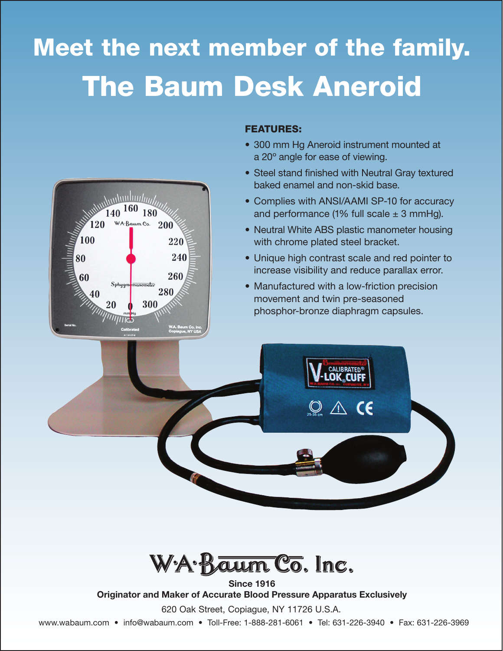# Meet the next member of the family. The Baum Desk Aneroid



### FEATURES:

- 300 mm Hg Aneroid instrument mounted at a 20° angle for ease of viewing.
- Steel stand finished with Neutral Gray textured baked enamel and non-skid base.
- Complies with ANSI/AAMI SP-10 for accuracy and performance (1% full scale  $\pm$  3 mmHg).
- Neutral White ABS plastic manometer housing with chrome plated steel bracket.
- Unique high contrast scale and red pointer to increase visibility and reduce parallax error.
- Manufactured with a low-friction precision movement and twin pre-seasoned phosphor-bronze diaphragm capsules.





Since 1916 Originator and Maker of Accurate Blood Pressure Apparatus Exclusively

620 Oak Street, Copiague, NY 11726 U.S.A.

www.wabaum.com • info@wabaum.com • Toll-Free: 1-888-281-6061 • Tel: 631-226-3940 • Fax: 631-226-3969